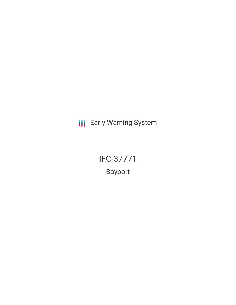**III** Early Warning System

IFC-37771 Bayport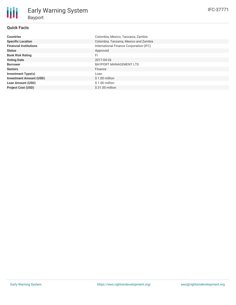| <b>Countries</b>               | Colombia, Mexico, Tanzania, Zambia      |
|--------------------------------|-----------------------------------------|
| <b>Specific Location</b>       | Colombia, Tanzania, Mexico and Zambia   |
| <b>Financial Institutions</b>  | International Finance Corporation (IFC) |
| <b>Status</b>                  | Approved                                |
| <b>Bank Risk Rating</b>        | FI                                      |
| <b>Voting Date</b>             | 2017-04-26                              |
| <b>Borrower</b>                | <b>BAYPORT MANAGEMENT LTD</b>           |
| <b>Sectors</b>                 | Finance                                 |
| <b>Investment Type(s)</b>      | Loan                                    |
| <b>Investment Amount (USD)</b> | $$1.00$ million                         |
| <b>Loan Amount (USD)</b>       | $$1.00$ million                         |
| <b>Project Cost (USD)</b>      | $$31.00$ million                        |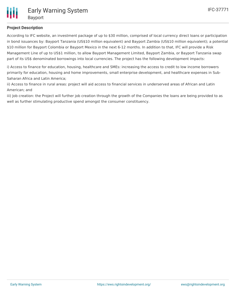

## **Project Description**

According to IFC website, an investment package of up to \$30 million, comprised of local currency direct loans or participation in bond issuances by: Bayport Tanzania (US\$10 million equivalent) and Bayport Zambia (US\$10 million equivalent); a potential \$10 million for Bayport Colombia or Bayport Mexico in the next 6-12 months. In addition to that, IFC will provide a Risk Management Line of up to US\$1 million, to allow Bayport Management Limited, Bayport Zambia, or Bayport Tanzania swap part of its US\$ denominated borrowings into local currencies. The project has the following development impacts:

i) Access to finance for education, housing, healthcare and SMEs: increasing the access to credit to low income borrowers primarily for education, housing and home improvements, small enterprise development, and healthcare expenses in Sub-Saharan Africa and Latin America;

ii) Access to finance in rural areas: project will aid access to financial services in underserved areas of African and Latin American; and

iii) Job creation: the Project will further job creation through the growth of the Companies the loans are being provided to as well as further stimulating productive spend amongst the consumer constituency.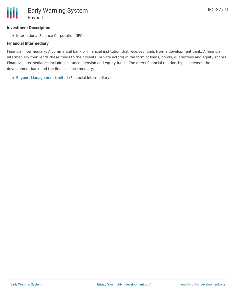### **Investment Description**

• International Finance Corporation (IFC)

#### **Financial Intermediary**

Financial Intermediary: A commercial bank or financial institution that receives funds from a development bank. A financial intermediary then lends these funds to their clients (private actors) in the form of loans, bonds, guarantees and equity shares. Financial intermediaries include insurance, pension and equity funds. The direct financial relationship is between the development bank and the financial intermediary.

Bayport [Management](file:///actor/821/) Limited (Financial Intermediary)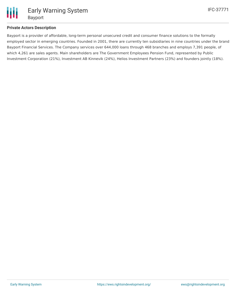

### **Private Actors Description**

Bayport is a provider of affordable, long-term personal unsecured credit and consumer finance solutions to the formally employed sector in emerging countries. Founded in 2001, there are currently ten subsidiaries in nine countries under the brand Bayport Financial Services. The Company services over 644,000 loans through 468 branches and employs 7,391 people, of which 4,261 are sales agents. Main shareholders are The Government Employees Pension Fund, represented by Public Investment Corporation (21%), Investment AB Kinnevik (24%), Helios Investment Partners (23%) and founders jointly (18%).